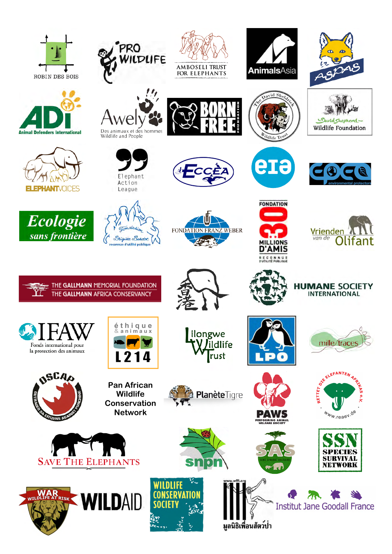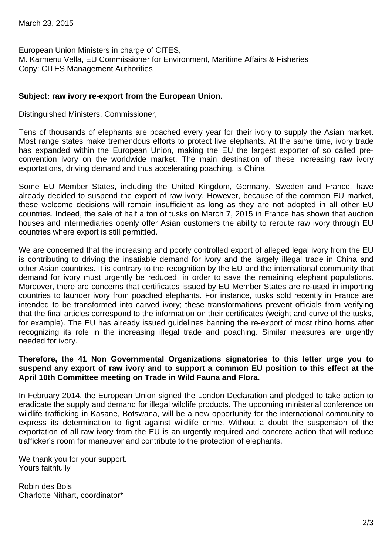European Union Ministers in charge of CITES, M. Karmenu Vella, EU Commissioner for Environment, Maritime Affairs & Fisheries Copy: CITES Management Authorities

## **Subject: raw ivory re-export from the European Union.**

Distinguished Ministers, Commissioner,

Tens of thousands of elephants are poached every year for their ivory to supply the Asian market. Most range states make tremendous efforts to protect live elephants. At the same time, ivory trade has expanded within the European Union, making the EU the largest exporter of so called preconvention ivory on the worldwide market. The main destination of these increasing raw ivory exportations, driving demand and thus accelerating poaching, is China.

Some EU Member States, including the United Kingdom, Germany, Sweden and France, have already decided to suspend the export of raw ivory. However, because of the common EU market, these welcome decisions will remain insufficient as long as they are not adopted in all other EU countries. Indeed, the sale of half a ton of tusks on March 7, 2015 in France has shown that auction houses and intermediaries openly offer Asian customers the ability to reroute raw ivory through EU countries where export is still permitted.

We are concerned that the increasing and poorly controlled export of alleged legal ivory from the EU is contributing to driving the insatiable demand for ivory and the largely illegal trade in China and other Asian countries. It is contrary to the recognition by the EU and the international community that demand for ivory must urgently be reduced, in order to save the remaining elephant populations. Moreover, there are concerns that certificates issued by EU Member States are re-used in importing countries to launder ivory from poached elephants. For instance, tusks sold recently in France are intended to be transformed into carved ivory; these transformations prevent officials from verifying that the final articles correspond to the information on their certificates (weight and curve of the tusks, for example). The EU has already issued guidelines banning the re-export of most rhino horns after recognizing its role in the increasing illegal trade and poaching. Similar measures are urgently needed for ivory.

## **Therefore, the 41 Non Governmental Organizations signatories to this letter urge you to suspend any export of raw ivory and to support a common EU position to this effect at the April 10th Committee meeting on Trade in Wild Fauna and Flora.**

In February 2014, the European Union signed the London Declaration and pledged to take action to eradicate the supply and demand for illegal wildlife products. The upcoming ministerial conference on wildlife trafficking in Kasane, Botswana, will be a new opportunity for the international community to express its determination to fight against wildlife crime. Without a doubt the suspension of the exportation of all raw ivory from the EU is an urgently required and concrete action that will reduce trafficker's room for maneuver and contribute to the protection of elephants.

We thank you for your support. Yours faithfully

Robin des Bois Charlotte Nithart, coordinator\*